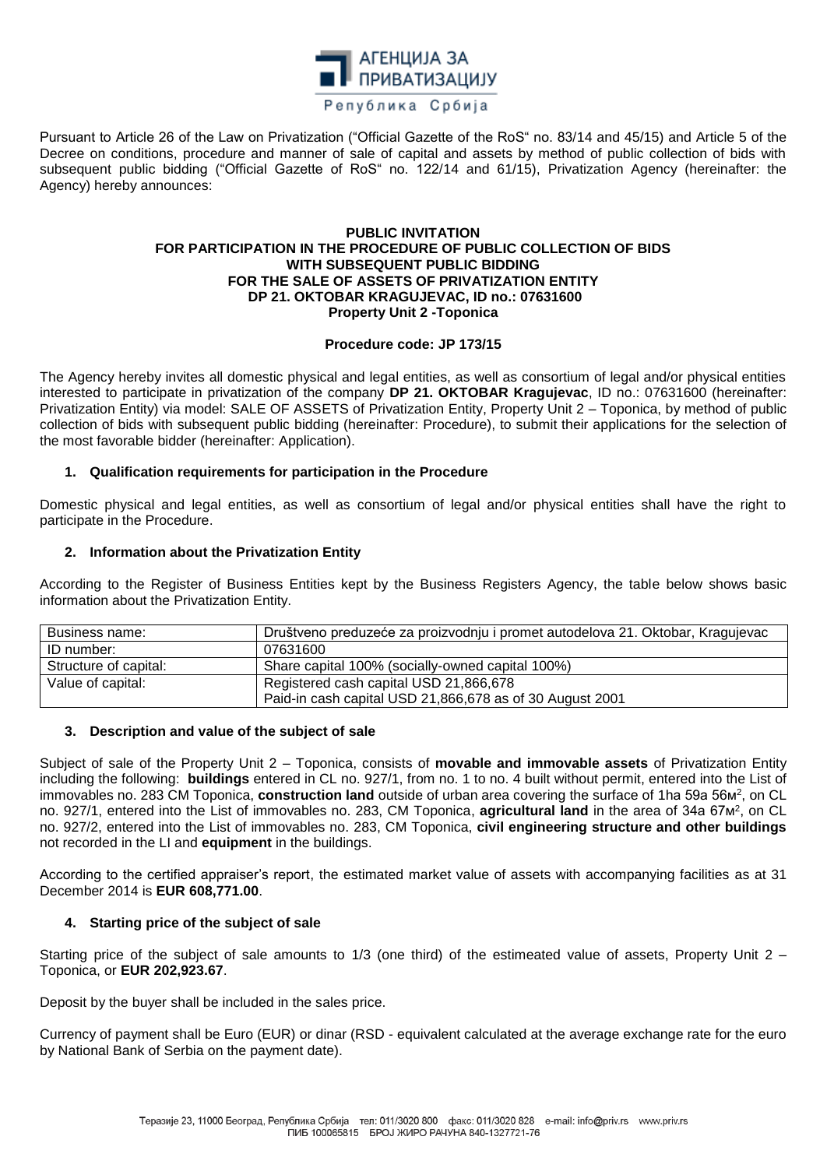

Pursuant to Article 26 of the Law on Privatization ("Official Gazette of the RoS" no. 83/14 and 45/15) and Article 5 of the Decree on conditions, procedure and manner of sale of capital and assets by method of public collection of bids with subsequent public bidding ("Official Gazette of RoS" no. 122/14 and 61/15), Privatization Agency (hereinafter: the Agency) hereby announces:

#### **PUBLIC INVITATION FOR PARTICIPATION IN THE PROCEDURE OF PUBLIC COLLECTION OF BIDS WITH SUBSEQUENT PUBLIC BIDDING FOR THE SALE OF ASSETS OF PRIVATIZATION ENTITY DP 21. OKTOBAR KRAGUJEVAC, ID no.: 07631600 Property Unit 2 -Toponica**

## **Procedure code: JP 173/15**

The Agency hereby invites all domestic physical and legal entities, as well as consortium of legal and/or physical entities interested to participate in privatization of the company **DP 21. OKTOBAR Kragujevac**, ID no.: 07631600 (hereinafter: Privatization Entity) via model: SALE OF ASSETS of Privatization Entity, Property Unit 2 – Toponica, by method of public collection of bids with subsequent public bidding (hereinafter: Procedure), to submit their applications for the selection of the most favorable bidder (hereinafter: Application).

# **1. Qualification requirements for participation in the Procedure**

Domestic physical and legal entities, as well as consortium of legal and/or physical entities shall have the right to participate in the Procedure.

## **2. Information about the Privatization Entity**

According to the Register of Business Entities kept by the Business Registers Agency, the table below shows basic information about the Privatization Entity.

| Business name:        | Društveno preduzeće za proizvodnju i promet autodelova 21. Oktobar, Kragujevac |
|-----------------------|--------------------------------------------------------------------------------|
| ID number:            | 07631600                                                                       |
| Structure of capital: | Share capital 100% (socially-owned capital 100%)                               |
| Value of capital:     | Registered cash capital USD 21,866,678                                         |
|                       | Paid-in cash capital USD 21,866,678 as of 30 August 2001                       |

### **3. Description and value of the subject of sale**

Subject of sale of the Property Unit 2 – Toponica, consists of **movable and immovable assets** of Privatization Entity including the following: **buildings** entered in CL no. 927/1, from no. 1 to no. 4 built without permit, entered into the List of immovables no. 283 CM Toponica, **construction land** outside of urban area covering the surface of 1ha 59a 56m<sup>2</sup>, on CL no. 927/1, entered into the List of immovables no. 283, CM Toponica, **agricultural land** in the area of 34a 67m<sup>2</sup>, on CL no. 927/2, entered into the List of immovables no. 283, CM Toponica, **civil engineering structure and other buildings**  not recorded in the LI and **equipment** in the buildings.

According to the certified appraiser's report, the estimated market value of assets with accompanying facilities as at 31 December 2014 is **EUR 608,771.00**.

### **4. Starting price of the subject of sale**

Starting price of the subject of sale amounts to 1/3 (one third) of the estimeated value of assets, Property Unit 2 – Toponica, or **EUR 202,923.67**.

Deposit by the buyer shall be included in the sales price.

Currency of payment shall be Euro (EUR) or dinar (RSD - equivalent calculated at the average exchange rate for the euro by National Bank of Serbia on the payment date).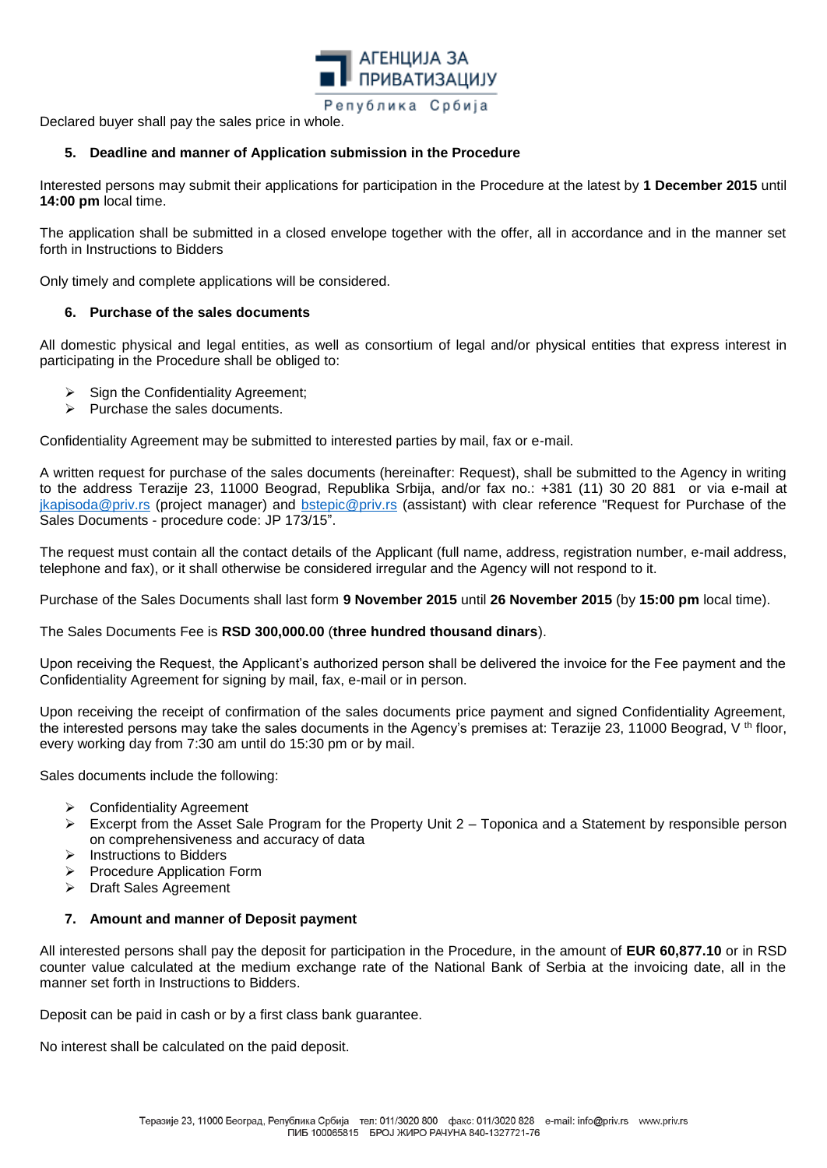

Declared buyer shall pay the sales price in whole.

# **5. Deadline and manner of Application submission in the Procedure**

Interested persons may submit their applications for participation in the Procedure at the latest by **1 December 2015** until **14:00 pm** local time.

The application shall be submitted in a closed envelope together with the offer, all in accordance and in the manner set forth in Instructions to Bidders

Only timely and complete applications will be considered.

# **6. Purchase of the sales documents**

All domestic physical and legal entities, as well as consortium of legal and/or physical entities that express interest in participating in the Procedure shall be obliged to:

- $\triangleright$  Sign the Confidentiality Agreement;
- $\triangleright$  Purchase the sales documents.

Confidentiality Agreement may be submitted to interested parties by mail, fax or e-mail.

A written request for purchase of the sales documents (hereinafter: Request), shall be submitted to the Agency in writing to the address Terazije 23, 11000 Beograd, Republika Srbija, and/or fax no.: +381 (11) 30 20 881 or via e-mail at [jkapisoda@priv.rs](mailto:jkapisoda@priv.rs) (project manager) and **bstepic@priv.rs** (assistant) with clear reference "Request for Purchase of the Sales Documents - procedure code: JP 173/15".

The request must contain all the contact details of the Applicant (full name, address, registration number, e-mail address, telephone and fax), or it shall otherwise be considered irregular and the Agency will not respond to it.

Purchase of the Sales Documents shall last form **9 November 2015** until **26 November 2015** (by **15:00 pm** local time).

The Sales Documents Fee is **RSD 300,000.00** (**three hundred thousand dinars**).

Upon receiving the Request, the Applicant's authorized person shall be delivered the invoice for the Fee payment and the Confidentiality Agreement for signing by mail, fax, e-mail or in person.

Upon receiving the receipt of confirmation of the sales documents price payment and signed Confidentiality Agreement, the interested persons may take the sales documents in the Agency's premises at: Terazije 23, 11000 Beograd, V<sup>th</sup> floor, every working day from 7:30 am until do 15:30 pm or by mail.

Sales documents include the following:

- ▶ Confidentiality Agreement
- Excerpt from the Asset Sale Program for the Property Unit 2 Toponica and a Statement by responsible person on comprehensiveness and accuracy of data
- $\triangleright$  Instructions to Bidders
- Procedure Application Form
- Draft Sales Agreement

### **7. Amount and manner of Deposit payment**

All interested persons shall pay the deposit for participation in the Procedure, in the amount of **EUR 60,877.10** or in RSD counter value calculated at the medium exchange rate of the National Bank of Serbia at the invoicing date, all in the manner set forth in Instructions to Bidders.

Deposit can be paid in cash or by a first class bank guarantee.

No interest shall be calculated on the paid deposit.